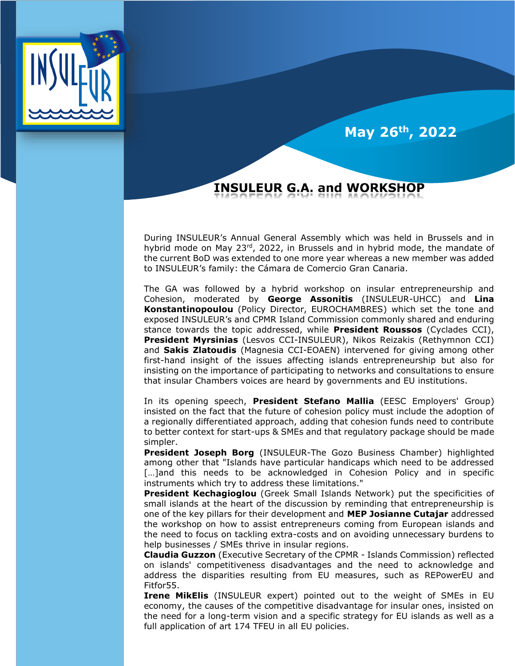

֠

## **May 26th, 2022**

## **INSULEUR G.A. and WORKSHOP**

During INSULEUR's Annual General Assembly which was held in Brussels and in hybrid mode on May  $23<sup>rd</sup>$ , 2022, in Brussels and in hybrid mode, the mandate of the current BoD was extended to one more year whereas a new member was added to INSULEUR's family: the Cámara de Comercio Gran Canaria.

The GA was followed by a hybrid workshop on insular entrepreneurship and Cohesion, moderated by **George Assonitis** (INSULEUR-UHCC) and **Lina Konstantinopoulou** (Policy Director, EUROCHAMBRES) which set the tone and exposed INSULEUR's and CPMR Island Commission commonly shared and enduring stance towards the topic addressed, while **President Roussos** (Cyclades CCI), **President Myrsinias** (Lesvos CCI-INSULEUR), Nikos Reizakis (Rethymnon CCI) and **Sakis Zlatoudis** (Magnesia CCI-ΕΟΑΕΝ) intervened for giving among other first-hand insight of the issues affecting islands entrepreneurship but also for insisting on the importance of participating to networks and consultations to ensure that insular Chambers voices are heard by governments and EU institutions.

In its opening speech, **President Stefano Mallia** (EESC Employers' Group) insisted on the fact that the future of cohesion policy must include the adoption of a regionally differentiated approach, adding that cohesion funds need to contribute to better context for start-ups & SMEs and that regulatory package should be made simpler.

**President Joseph Borg** (INSULEUR-The Gozo Business Chamber) highlighted among other that "Islands have particular handicaps which need to be addressed [...]and this needs to be acknowledged in Cohesion Policy and in specific instruments which try to address these limitations."

**President Kechagioglou** (Greek Small Islands Network) put the specificities of small islands at the heart of the discussion by reminding that entrepreneurship is one of the key pillars for their development and **MEP Josianne Cutajar** addressed the workshop on how to assist entrepreneurs coming from European islands and the need to focus on tackling extra-costs and on avoiding unnecessary burdens to help businesses / SMEs thrive in insular regions.

**Claudia Guzzon** (Executive Secretary of the CPMR - Islands Commission) reflected on islands' competitiveness disadvantages and the need to acknowledge and address the disparities resulting from EU measures, such as REPowerEU and Fitfor55.

**Irene MikElis** (INSULEUR expert) pointed out to the weight of SMEs in EU economy, the causes of the competitive disadvantage for insular ones, insisted on the need for a long-term vision and a specific strategy for EU islands as well as a full application of art 174 TFEU in all EU policies.